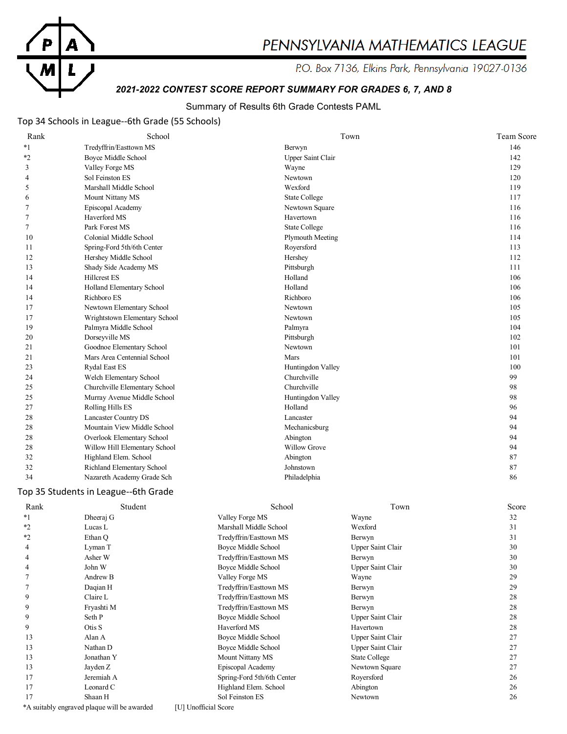

# PENNSYLVANIA MATHEMATICS LEAGUE

P.O. Box 7136, Elkins Park, Pennsylvania 19027-0136

# *2021-2022 CONTEST SCORE REPORT SUMMARY FOR GRADES 6, 7, AND 8*

#### Summary of Results 6th Grade Contests PAML

### Top 34 Schools in League--6th Grade (55 Schools)

| Rank    | School                        | Town                    | Team Score |
|---------|-------------------------------|-------------------------|------------|
| $*1$    | Tredyffrin/Easttown MS        | Berwyn                  | 146        |
| $*_{2}$ | <b>Boyce Middle School</b>    | Upper Saint Clair       | 142        |
| 3       | Valley Forge MS               | Wayne                   | 129        |
| 4       | Sol Feinston ES               | Newtown                 | 120        |
| 5       | Marshall Middle School        | Wexford                 | 119        |
| 6       | Mount Nittany MS              | <b>State College</b>    | 117        |
| 7       | Episcopal Academy             | Newtown Square          | 116        |
| 7       | Haverford MS                  | Havertown               | 116        |
| 7       | Park Forest MS                | <b>State College</b>    | 116        |
| 10      | Colonial Middle School        | <b>Plymouth Meeting</b> | 114        |
| 11      | Spring-Ford 5th/6th Center    | Royersford              | 113        |
| 12      | Hershey Middle School         | Hershey                 | 112        |
| 13      | Shady Side Academy MS         | Pittsburgh              | 111        |
| 14      | <b>Hillcrest ES</b>           | Holland                 | 106        |
| 14      | Holland Elementary School     | Holland                 | 106        |
| 14      | Richboro ES                   | Richboro                | 106        |
| 17      | Newtown Elementary School     | Newtown                 | 105        |
| 17      | Wrightstown Elementary School | Newtown                 | 105        |
| 19      | Palmyra Middle School         | Palmyra                 | 104        |
| 20      | Dorseyville MS                | Pittsburgh              | 102        |
| 21      | Goodnoe Elementary School     | Newtown                 | 101        |
| 21      | Mars Area Centennial School   | Mars                    | 101        |
| 23      | <b>Rydal East ES</b>          | Huntingdon Valley       | 100        |
| 24      | Welch Elementary School       | Churchville             | 99         |
| 25      | Churchville Elementary School | Churchville             | 98         |
| 25      | Murray Avenue Middle School   | Huntingdon Valley       | 98         |
| 27      | Rolling Hills ES              | Holland                 | 96         |
| 28      | Lancaster Country DS          | Lancaster               | 94         |
| 28      | Mountain View Middle School   | Mechanicsburg           | 94         |
| 28      | Overlook Elementary School    | Abington                | 94         |
| 28      | Willow Hill Elementary School | <b>Willow Grove</b>     | 94         |
| 32      | Highland Elem. School         | Abington                | 87         |
| 32      | Richland Elementary School    | Johnstown               | 87         |
| 34      | Nazareth Academy Grade Sch    | Philadelphia            | 86         |

#### Top 35 Students in League--6th Grade

| Rank    | Student                                     | School                     | Town                     | Score |
|---------|---------------------------------------------|----------------------------|--------------------------|-------|
| *1      | Dheeraj G                                   | Valley Forge MS            | Wayne                    | 32    |
| $*2$    | Lucas L                                     | Marshall Middle School     | Wexford                  | 31    |
| $*_{2}$ | Ethan O                                     | Tredyffrin/Easttown MS     | Berwyn                   | 31    |
| 4       | Lyman T                                     | Boyce Middle School        | Upper Saint Clair        | 30    |
| 4       | Asher W                                     | Tredyffrin/Easttown MS     | Berwyn                   | 30    |
| 4       | John W                                      | Boyce Middle School        | Upper Saint Clair        | 30    |
|         | Andrew B                                    | Valley Forge MS            | Wayne                    | 29    |
|         | Daqian H                                    | Tredyffrin/Easttown MS     | Berwyn                   | 29    |
| 9       | Claire L                                    | Tredyffrin/Easttown MS     | Berwyn                   | 28    |
| 9       | Fryashti M                                  | Tredyffrin/Easttown MS     | Berwyn                   | 28    |
| 9       | Seth P                                      | Boyce Middle School        | Upper Saint Clair        | 28    |
| 9       | Otis S                                      | Haverford MS               | Havertown                | 28    |
| 13      | Alan A                                      | Boyce Middle School        | Upper Saint Clair        | 27    |
| 13      | Nathan D                                    | Boyce Middle School        | <b>Upper Saint Clair</b> | 27    |
| 13      | Jonathan Y                                  | Mount Nittany MS           | State College            | 27    |
| 13      | Jayden Z                                    | Episcopal Academy          | Newtown Square           | 27    |
| 17      | Jeremiah A                                  | Spring-Ford 5th/6th Center | Royersford               | 26    |
| 17      | Leonard C                                   | Highland Elem. School      | Abington                 | 26    |
| 17      | Shaan H                                     | Sol Feinston ES            | Newtown                  | 26    |
|         | *A suitably engraved plaque will be awarded | [U] Unofficial Score       |                          |       |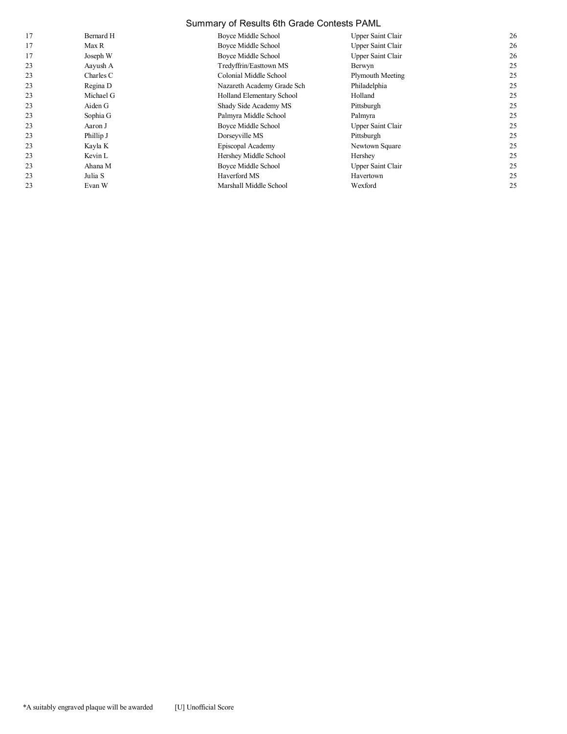#### Summary of Results 6th Grade Contests PAML

| 17 | Bernard H | Boyce Middle School        | Upper Saint Clair        | 26 |
|----|-----------|----------------------------|--------------------------|----|
| 17 | Max R     | Boyce Middle School        | Upper Saint Clair        | 26 |
| 17 | Joseph W  | Boyce Middle School        | <b>Upper Saint Clair</b> | 26 |
| 23 | Aayush A  | Tredyffrin/Easttown MS     | Berwyn                   | 25 |
| 23 | Charles C | Colonial Middle School     | Plymouth Meeting         | 25 |
| 23 | Regina D  | Nazareth Academy Grade Sch | Philadelphia             | 25 |
| 23 | Michael G | Holland Elementary School  | Holland                  | 25 |
| 23 | Aiden G   | Shady Side Academy MS      | Pittsburgh               | 25 |
| 23 | Sophia G  | Palmyra Middle School      | Palmyra                  | 25 |
| 23 | Aaron J   | Boyce Middle School        | Upper Saint Clair        | 25 |
| 23 | Phillip J | Dorseyville MS             | Pittsburgh               | 25 |
| 23 | Kayla K   | Episcopal Academy          | Newtown Square           | 25 |
| 23 | Kevin L   | Hershey Middle School      | Hershey                  | 25 |
| 23 | Ahana M   | Boyce Middle School        | Upper Saint Clair        | 25 |
| 23 | Julia S   | Haverford MS               | Havertown                | 25 |
| 23 | Evan W    | Marshall Middle School     | Wexford                  | 25 |
|    |           |                            |                          |    |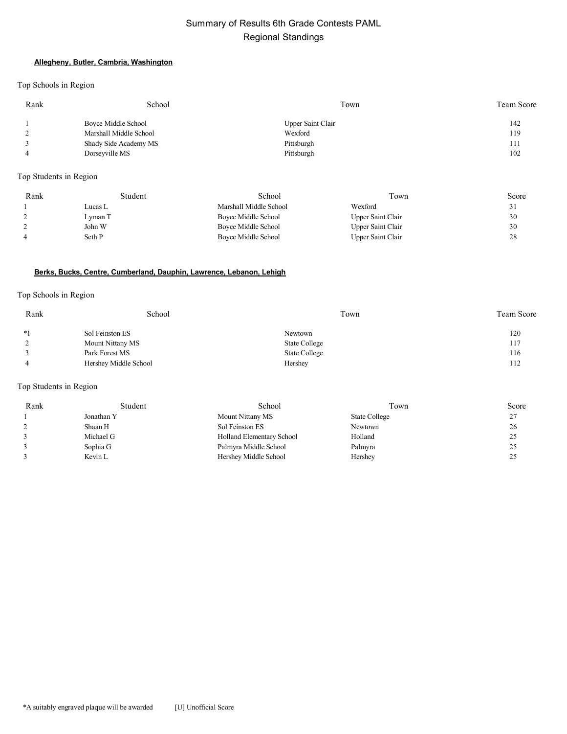# Summary of Results 6th Grade Contests PAML Regional Standings

#### **Allegheny, Butler, Cambria, Washington**

Top Schools in Region

| Rank | School                 | Town              | Team Score |
|------|------------------------|-------------------|------------|
|      | Boyce Middle School    | Upper Saint Clair | 142        |
|      | Marshall Middle School | Wexford           | 119        |
|      | Shady Side Academy MS  | Pittsburgh        | 111        |
|      | Dorseyville MS         | Pittsburgh        | 102        |
|      |                        |                   |            |

Top Students in Region

| Rank | Student | School                 | Town              | Score |
|------|---------|------------------------|-------------------|-------|
|      | Lucas L | Marshall Middle School | Wexford           | ر ر   |
|      | Lyman T | Boyce Middle School    | Upper Saint Clair | 30    |
|      | John W  | Boyce Middle School    | Upper Saint Clair | 30    |
| 4    | Seth P  | Boyce Middle School    | Upper Saint Clair | 28    |

#### **Berks, Bucks, Centre, Cumberland, Dauphin, Lawrence, Lebanon, Lehigh**

#### Top Schools in Region

| Rank | School                | Town          | <b>Team Score</b> |
|------|-----------------------|---------------|-------------------|
| $*1$ | Sol Feinston ES       | Newtown       | 120               |
|      | Mount Nittany MS      | State College | 117               |
|      | Park Forest MS        | State College | 116               |
|      | Hershey Middle School | Hershey       | 112               |

| Rank | Student    | School                    | Town          | Score |
|------|------------|---------------------------|---------------|-------|
|      | Jonathan Y | Mount Nittany MS          | State College | 27    |
|      | Shaan H    | Sol Feinston ES           | Newtown       | 26    |
|      | Michael G  | Holland Elementary School | Holland       | 25    |
|      | Sophia G   | Palmyra Middle School     | Palmyra       | 25    |
|      | Kevin L    | Hershey Middle School     | Hershey       | 25    |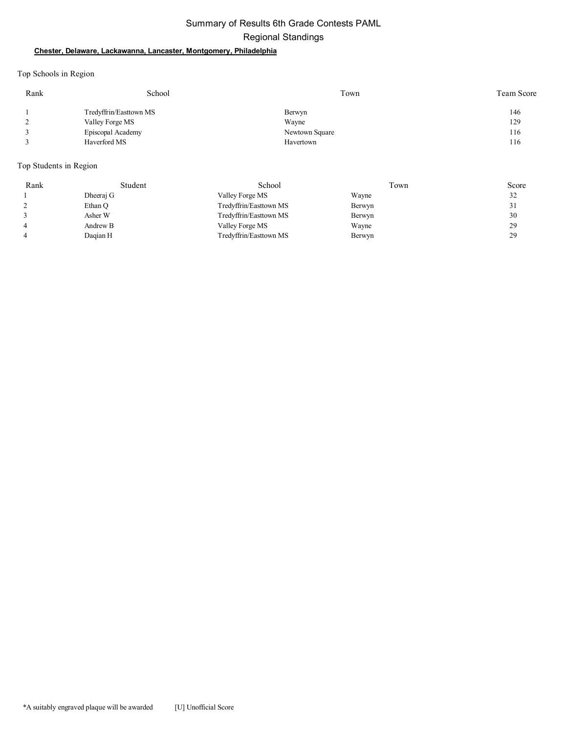# Summary of Results 6th Grade Contests PAML Regional Standings

#### **Chester, Delaware, Lackawanna, Lancaster, Montgomery, Philadelphia**

Top Schools in Region

| Rank | School                 | Town           | <b>Team Score</b> |
|------|------------------------|----------------|-------------------|
|      | Tredyffrin/Easttown MS | Berwyn         | 146               |
|      | Valley Forge MS        | Wayne          | 129               |
|      | Episcopal Academy      | Newtown Square | 116               |
|      | Haverford MS           | Havertown      | 116               |

| Rank | Student   | School                 | Γown   | Score |
|------|-----------|------------------------|--------|-------|
|      | Dheeraj G | Valley Forge MS        | Wayne  | 32    |
|      | Ethan Q   | Tredyffrin/Easttown MS | Berwyn | 31    |
|      | Asher W   | Tredyffrin/Easttown MS | Berwyn | 30    |
|      | Andrew B  | Valley Forge MS        | Wayne  | 29    |
|      | Dagian H  | Tredyffrin/Easttown MS | Berwyn | 29    |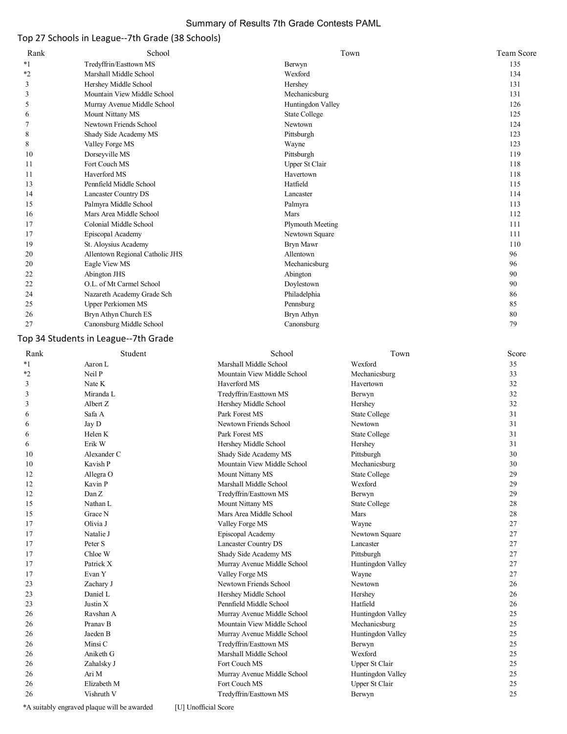#### Summary of Results 7th Grade Contests PAML

# Top 27 Schools in League--7th Grade (38 Schools)

| Rank    | School                          | Town                 | Team Score |
|---------|---------------------------------|----------------------|------------|
| $*_{1}$ | Tredyffrin/Easttown MS          | Berwyn               | 135        |
| *2      | Marshall Middle School          | Wexford              | 134        |
| 3       | Hershey Middle School           | Hershey              | 131        |
| 3       | Mountain View Middle School     | Mechanicsburg        | 131        |
| 5       | Murray Avenue Middle School     | Huntingdon Valley    | 126        |
| 6       | Mount Nittany MS                | <b>State College</b> | 125        |
|         | Newtown Friends School          | Newtown              | 124        |
| 8       | Shady Side Academy MS           | Pittsburgh           | 123        |
| 8       | Valley Forge MS                 | Wayne                | 123        |
| 10      | Dorseyville MS                  | Pittsburgh           | 119        |
| 11      | Fort Couch MS                   | Upper St Clair       | 118        |
| 11      | Haverford MS                    | Havertown            | 118        |
| 13      | Pennfield Middle School         | Hatfield             | 115        |
| 14      | <b>Lancaster Country DS</b>     | Lancaster            | 114        |
| 15      | Palmyra Middle School           | Palmyra              | 113        |
| 16      | Mars Area Middle School         | Mars                 | 112        |
| 17      | Colonial Middle School          | Plymouth Meeting     | 111        |
| 17      | Episcopal Academy               | Newtown Square       | 111        |
| 19      | St. Aloysius Academy            | Bryn Mawr            | 110        |
| 20      | Allentown Regional Catholic JHS | Allentown            | 96         |
| 20      | Eagle View MS                   | Mechanicsburg        | 96         |
| 22      | Abington JHS                    | Abington             | 90         |
| 22      | O.L. of Mt Carmel School        | Doylestown           | 90         |
| 24      | Nazareth Academy Grade Sch      | Philadelphia         | 86         |
| 25      | <b>Upper Perkiomen MS</b>       | Pennsburg            | 85         |
| 26      | Bryn Athyn Church ES            | Bryn Athyn           | 80         |
| 27      | Canonsburg Middle School        | Canonsburg           | 79         |

# Top 34 Students in League--7th Grade

| Rank | Student             | School                      | Town                 | Score |
|------|---------------------|-----------------------------|----------------------|-------|
| $*1$ | Aaron L             | Marshall Middle School      | Wexford              | 35    |
| $*2$ | Neil P              | Mountain View Middle School | Mechanicsburg        | 33    |
| 3    | Nate K              | Haverford MS                | Havertown            | 32    |
| 3    | Miranda L           | Tredyffrin/Easttown MS      | Berwyn               | 32    |
| 3    | Albert Z            | Hershey Middle School       | Hershey              | 32    |
| 6    | Safa A              | Park Forest MS              | <b>State College</b> | 31    |
| 6    | Jay D               | Newtown Friends School      | Newtown              | 31    |
| 6    | Helen K             | Park Forest MS              | <b>State College</b> | 31    |
| 6    | Erik W              | Hershey Middle School       | Hershey              | 31    |
| 10   | Alexander C         | Shady Side Academy MS       | Pittsburgh           | 30    |
| 10   | Kavish P            | Mountain View Middle School | Mechanicsburg        | 30    |
| 12   | Allegra O           | Mount Nittany MS            | <b>State College</b> | 29    |
| 12   | Kavin P             | Marshall Middle School      | Wexford              | 29    |
| 12   | Dan Z               | Tredyffrin/Easttown MS      | Berwyn               | 29    |
| 15   | Nathan L            | Mount Nittany MS            | <b>State College</b> | 28    |
| 15   | Grace N             | Mars Area Middle School     | Mars                 | 28    |
| 17   | Olivia J            | Valley Forge MS             | Wayne                | 27    |
| 17   | Natalie J           | Episcopal Academy           | Newtown Square       | 27    |
| 17   | Peter S             | <b>Lancaster Country DS</b> | Lancaster            | 27    |
| 17   | Chloe W             | Shady Side Academy MS       | Pittsburgh           | 27    |
| 17   | Patrick X           | Murray Avenue Middle School | Huntingdon Valley    | 27    |
| 17   | Evan Y              | Valley Forge MS             | Wayne                | 27    |
| 23   | Zachary J           | Newtown Friends School      | Newtown              | 26    |
| 23   | Daniel L            | Hershey Middle School       | Hershey              | 26    |
| 23   | Justin X            | Pennfield Middle School     | Hatfield             | 26    |
| 26   | Ravshan A           | Murray Avenue Middle School | Huntingdon Valley    | 25    |
| 26   | Pranav <sub>B</sub> | Mountain View Middle School | Mechanicsburg        | 25    |
| 26   | Jaeden B            | Murray Avenue Middle School | Huntingdon Valley    | 25    |
| 26   | Minsi C             | Tredyffrin/Easttown MS      | Berwyn               | 25    |
| 26   | Aniketh G           | Marshall Middle School      | Wexford              | 25    |
| 26   | Zahalsky J          | Fort Couch MS               | Upper St Clair       | 25    |
| 26   | Ari M               | Murray Avenue Middle School | Huntingdon Valley    | 25    |
| 26   | Elizabeth M         | Fort Couch MS               | Upper St Clair       | 25    |
| 26   | Vishruth V          | Tredyffrin/Easttown MS      | Berwyn               | 25    |

\*A suitably engraved plaque will be awarded [U] Unofficial Score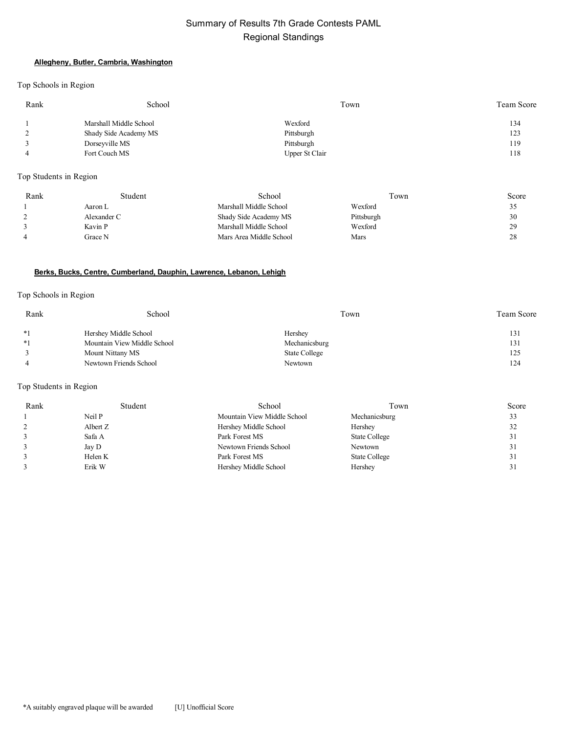# Summary of Results 7th Grade Contests PAML Regional Standings

#### **Allegheny, Butler, Cambria, Washington**

Top Schools in Region

| Rank     | School                 | Town           | Team Score |
|----------|------------------------|----------------|------------|
|          | Marshall Middle School | Wexford        | 134        |
| $\gamma$ | Shady Side Academy MS  | Pittsburgh     | 123        |
|          | Dorseyville MS         | Pittsburgh     | 119        |
|          | Fort Couch MS          | Upper St Clair | 118        |

Top Students in Region

| Rank | Student     | School                  | Town       | Score |
|------|-------------|-------------------------|------------|-------|
|      | Aaron L     | Marshall Middle School  | Wexford    | ر ر   |
|      | Alexander C | Shady Side Academy MS   | Pittsburgh | 30    |
|      | Kavin P     | Marshall Middle School  | Wexford    | 29    |
|      | Grace N     | Mars Area Middle School | Mars       | 28    |

#### **Berks, Bucks, Centre, Cumberland, Dauphin, Lawrence, Lebanon, Lehigh**

#### Top Schools in Region

| Rank | School                      | Town          | Team Score |
|------|-----------------------------|---------------|------------|
| $*1$ | Hershey Middle School       | Hershey       | 131        |
| $*1$ | Mountain View Middle School | Mechanicsburg | 131        |
|      | Mount Nittany MS            | State College | 125        |
|      | Newtown Friends School      | Newtown       | 124        |

| Rank | Student  | School                      | Town          | Score |
|------|----------|-----------------------------|---------------|-------|
|      | Neil P   | Mountain View Middle School | Mechanicsburg | 33    |
|      | Albert Z | Hershey Middle School       | Hershey       | 32    |
|      | Safa A   | Park Forest MS              | State College | 31    |
|      | Jay D    | Newtown Friends School      | Newtown       | 31    |
|      | Helen K  | Park Forest MS              | State College | 31    |
|      | Erik W   | Hershey Middle School       | Hershey       | 31    |
|      |          |                             |               |       |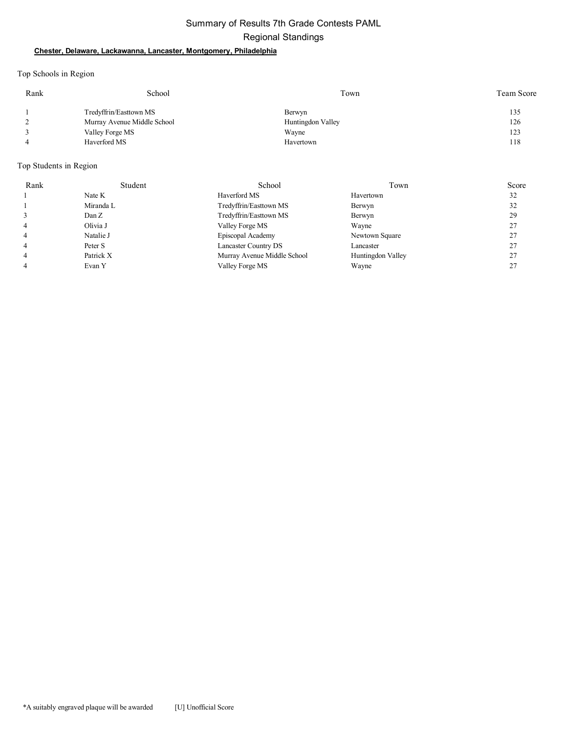# Summary of Results 7th Grade Contests PAML Regional Standings

#### **Chester, Delaware, Lackawanna, Lancaster, Montgomery, Philadelphia**

Top Schools in Region

| Rank | School                      | Town              | <b>Team Score</b> |
|------|-----------------------------|-------------------|-------------------|
|      | Tredyffrin/Easttown MS      | Berwyn            | 135               |
|      | Murray Avenue Middle School | Huntingdon Valley | 126               |
|      | Valley Forge MS             | Wayne             | 123               |
| 4    | Haverford MS                | Havertown         | 118               |

| Rank | Student   | School                      | Town              | Score |
|------|-----------|-----------------------------|-------------------|-------|
|      | Nate K    | Haverford MS                | Havertown         | 32    |
|      | Miranda L | Tredyffrin/Easttown MS      | Berwyn            | 32    |
|      | Dan Z     | Tredyffrin/Easttown MS      | Berwyn            | 29    |
| 4    | Olivia J  | Valley Forge MS             | Wayne             | 27    |
| 4    | Natalie J | Episcopal Academy           | Newtown Square    | 27    |
| 4    | Peter S   | Lancaster Country DS        | Lancaster         | 27    |
| 4    | Patrick X | Murray Avenue Middle School | Huntingdon Valley |       |
| 4    | Evan Y    | Valley Forge MS             | Wayne             | 27    |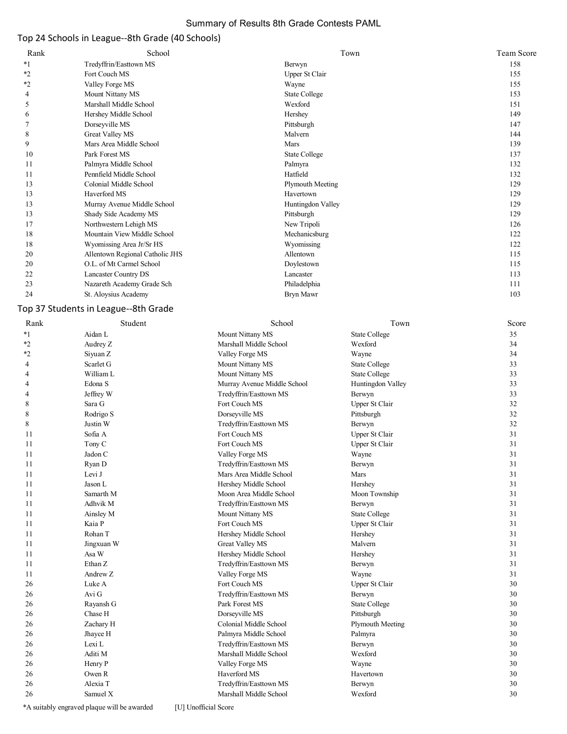#### Summary of Results 8th Grade Contests PAML

# Top 24 Schools in League--8th Grade (40 Schools)

| Rank    | School                          | Town                 | <b>Team Score</b> |
|---------|---------------------------------|----------------------|-------------------|
| $*1$    | Tredyffrin/Easttown MS          | Berwyn               | 158               |
| $*2$    | Fort Couch MS                   | Upper St Clair       | 155               |
| $*_{2}$ | Valley Forge MS                 | Wayne                | 155               |
| 4       | Mount Nittany MS                | <b>State College</b> | 153               |
| 5       | Marshall Middle School          | Wexford              | 151               |
| 6       | Hershey Middle School           | Hershey              | 149               |
|         | Dorseyville MS                  | Pittsburgh           | 147               |
| 8       | Great Valley MS                 | Malvern              | 144               |
| 9       | Mars Area Middle School         | Mars                 | 139               |
| 10      | Park Forest MS                  | State College        | 137               |
| 11      | Palmyra Middle School           | Palmyra              | 132               |
| 11      | Pennfield Middle School         | Hatfield             | 132               |
| 13      | Colonial Middle School          | Plymouth Meeting     | 129               |
| 13      | Haverford MS                    | Havertown            | 129               |
| 13      | Murray Avenue Middle School     | Huntingdon Valley    | 129               |
| 13      | Shady Side Academy MS           | Pittsburgh           | 129               |
| 17      | Northwestern Lehigh MS          | New Tripoli          | 126               |
| 18      | Mountain View Middle School     | Mechanicsburg        | 122               |
| 18      | Wyomissing Area Jr/Sr HS        | Wyomissing           | 122               |
| 20      | Allentown Regional Catholic JHS | Allentown            | 115               |
| 20      | O.L. of Mt Carmel School        | Doylestown           | 115               |
| 22      | Lancaster Country DS            | Lancaster            | 113               |
| 23      | Nazareth Academy Grade Sch      | Philadelphia         | 111               |
| 24      | St. Aloysius Academy            | Bryn Mawr            | 103               |

# Top 37 Students in League--8th Grade

| Rank    | Student    | School                      | Town                    | Score |
|---------|------------|-----------------------------|-------------------------|-------|
| $*_{1}$ | Aidan L    | Mount Nittany MS            | <b>State College</b>    | 35    |
| $*_{2}$ | Audrey Z   | Marshall Middle School      | Wexford                 | 34    |
| *2      | Siyuan Z   | Valley Forge MS             | Wayne                   | 34    |
| 4       | Scarlet G  | Mount Nittany MS            | <b>State College</b>    | 33    |
| 4       | William L  | Mount Nittany MS            | <b>State College</b>    | 33    |
| 4       | Edona S    | Murray Avenue Middle School | Huntingdon Valley       | 33    |
| 4       | Jeffrey W  | Tredyffrin/Easttown MS      | Berwyn                  | 33    |
| 8       | Sara G     | Fort Couch MS               | Upper St Clair          | 32    |
| 8       | Rodrigo S  | Dorseyville MS              | Pittsburgh              | 32    |
| 8       | Justin W   | Tredyffrin/Easttown MS      | Berwyn                  | 32    |
| 11      | Sofia A    | Fort Couch MS               | Upper St Clair          | 31    |
| 11      | Tony C     | Fort Couch MS               | Upper St Clair          | 31    |
| 11      | Jadon C    | Valley Forge MS             | Wayne                   | 31    |
| 11      | Ryan D     | Tredyffrin/Easttown MS      | Berwyn                  | 31    |
| 11      | Levi J     | Mars Area Middle School     | Mars                    | 31    |
| 11      | Jason L    | Hershey Middle School       | Hershey                 | 31    |
| 11      | Samarth M  | Moon Area Middle School     | Moon Township           | 31    |
| 11      | Adhvik M   | Tredyffrin/Easttown MS      | Berwyn                  | 31    |
| 11      | Ainsley M  | Mount Nittany MS            | <b>State College</b>    | 31    |
| 11      | Kaia P     | Fort Couch MS               | Upper St Clair          | 31    |
| 11      | Rohan T    | Hershey Middle School       | Hershey                 | 31    |
| 11      | Jingxuan W | <b>Great Valley MS</b>      | Malvern                 | 31    |
| 11      | Asa W      | Hershey Middle School       | Hershey                 | 31    |
| 11      | Ethan Z    | Tredyffrin/Easttown MS      | Berwyn                  | 31    |
| 11      | Andrew Z   | Valley Forge MS             | Wayne                   | 31    |
| 26      | Luke A     | Fort Couch MS               | Upper St Clair          | 30    |
| 26      | Avi G      | Tredyffrin/Easttown MS      | Berwyn                  | 30    |
| 26      | Rayansh G  | Park Forest MS              | <b>State College</b>    | 30    |
| 26      | Chase H    | Dorseyville MS              | Pittsburgh              | 30    |
| 26      | Zachary H  | Colonial Middle School      | <b>Plymouth Meeting</b> | 30    |
| 26      | Jhayce H   | Palmyra Middle School       | Palmyra                 | 30    |
| 26      | Lexi L     | Tredyffrin/Easttown MS      | Berwyn                  | 30    |
| 26      | Aditi M    | Marshall Middle School      | Wexford                 | 30    |
| 26      | Henry P    | Valley Forge MS             | Wayne                   | 30    |
| 26      | Owen R     | Haverford MS                | Havertown               | 30    |
| 26      | Alexia T   | Tredyffrin/Easttown MS      | Berwyn                  | 30    |
| 26      | Samuel X   | Marshall Middle School      | Wexford                 | 30    |
|         |            |                             |                         |       |

\*A suitably engraved plaque will be awarded [U] Unofficial Score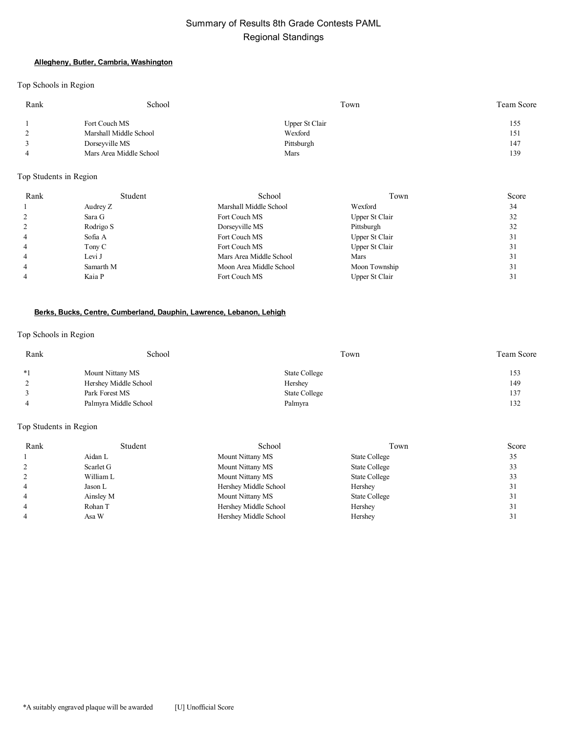# Summary of Results 8th Grade Contests PAML Regional Standings

#### **Allegheny, Butler, Cambria, Washington**

Top Schools in Region

| Rank | School                  | Town           | Team Score |
|------|-------------------------|----------------|------------|
|      | Fort Couch MS           | Upper St Clair | 155        |
|      | Marshall Middle School  | Wexford        | 151        |
|      | Dorseyville MS          | Pittsburgh     | 147        |
|      | Mars Area Middle School | Mars           | 139        |

Top Students in Region

| Rank           | Student   | School                  | Town           | Score |
|----------------|-----------|-------------------------|----------------|-------|
|                | Audrey Z  | Marshall Middle School  | Wexford        | 34    |
|                | Sara G    | Fort Couch MS           | Upper St Clair | 32    |
|                | Rodrigo S | Dorseyville MS          | Pittsburgh     | 32    |
| 4              | Sofia A   | Fort Couch MS           | Upper St Clair | 31    |
| 4              | Tony C    | Fort Couch MS           | Upper St Clair | 31    |
| 4              | Levi J    | Mars Area Middle School | Mars           | 31    |
| $\overline{4}$ | Samarth M | Moon Area Middle School | Moon Township  | 31    |
|                | Kaia P    | Fort Couch MS           | Upper St Clair | 31    |

#### **Berks, Bucks, Centre, Cumberland, Dauphin, Lawrence, Lebanon, Lehigh**

#### Top Schools in Region

| Rank | School                | Town          | Team Score |
|------|-----------------------|---------------|------------|
| $*1$ | Mount Nittany MS      | State College | 153        |
|      | Hershey Middle School | Hershey       | 149        |
|      | Park Forest MS        | State College | 137        |
|      | Palmyra Middle School | Palmyra       | 132        |

| Rank | Student   | School                | Town          | Score |
|------|-----------|-----------------------|---------------|-------|
|      | Aidan L   | Mount Nittany MS      | State College | 35    |
|      | Scarlet G | Mount Nittany MS      | State College | 33    |
|      | William L | Mount Nittany MS      | State College | 33    |
|      | Jason L   | Hershey Middle School | Hershey       | 31    |
|      | Ainsley M | Mount Nittany MS      | State College | 31    |
|      | Rohan T   | Hershey Middle School | Hershey       | 31    |
|      | Asa W     | Hershey Middle School | Hershey       | 31    |